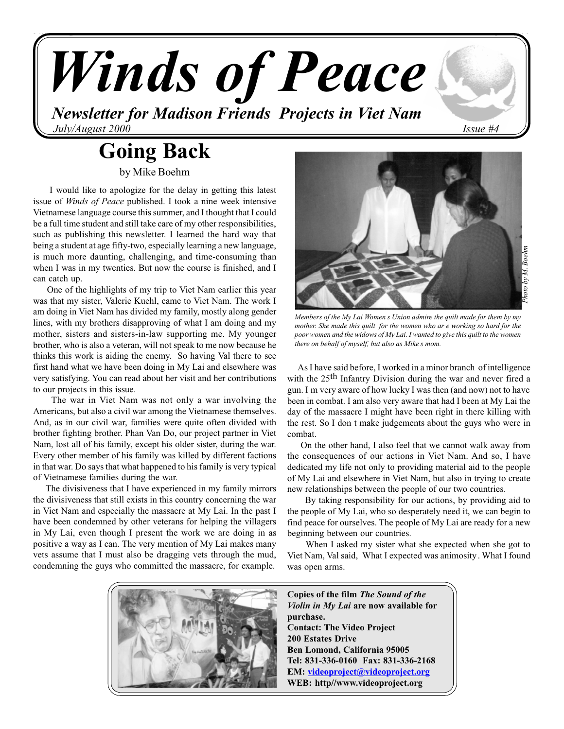

*July/August 2000 Winds of Peace*

## **Going Back**

by Mike Boehm

 I would like to apologize for the delay in getting this latest issue of *Winds of Peace* published. I took a nine week intensive Vietnamese language course this summer, and I thought that I could be a full time student and still take care of my other responsibilities, such as publishing this newsletter. I learned the hard way that being a student at age fifty-two, especially learning a new language, is much more daunting, challenging, and time-consuming than when I was in my twenties. But now the course is finished, and I can catch up.

 One of the highlights of my trip to Viet Nam earlier this year was that my sister, Valerie Kuehl, came to Viet Nam. The work I am doing in Viet Nam has divided my family, mostly along gender lines, with my brothers disapproving of what I am doing and my mother, sisters and sisters-in-law supporting me. My younger brother, who is also a veteran, will not speak to me now because he thinks this work is aiding the enemy. So having Val there to see first hand what we have been doing in My Lai and elsewhere was very satisfying. You can read about her visit and her contributions to our projects in this issue.

 The war in Viet Nam was not only a war involving the Americans, but also a civil war among the Vietnamese themselves. And, as in our civil war, families were quite often divided with brother fighting brother. Phan Van Do, our project partner in Viet Nam, lost all of his family, except his older sister, during the war. Every other member of his family was killed by different factions in that war. Do says that what happened to his family is very typical of Vietnamese families during the war.

 The divisiveness that I have experienced in my family mirrors the divisiveness that still exists in this country concerning the war in Viet Nam and especially the massacre at My Lai. In the past I have been condemned by other veterans for helping the villagers in My Lai, even though I present the work we are doing in as positive a way as I can. The very mention of My Lai makes many vets assume that I must also be dragging vets through the mud, condemning the guys who committed the massacre, for example.



*Members of the My Lai Women s Union admire the quilt made for them by my mother. She made this quilt for the women who ar e working so hard for the poor women and the widows of My Lai. I wanted to give this quilt to the women there on behalf of myself, but also as Mike s mom.*

 As I have said before, I worked in a minor branch of intelligence with the 25<sup>th</sup> Infantry Division during the war and never fired a gun. I m very aware of how lucky I was then (and now) not to have been in combat. I am also very aware that had I been at My Lai the day of the massacre I might have been right in there killing with the rest. So I don t make judgements about the guys who were in combat.

 On the other hand, I also feel that we cannot walk away from the consequences of our actions in Viet Nam. And so, I have dedicated my life not only to providing material aid to the people of My Lai and elsewhere in Viet Nam, but also in trying to create new relationships between the people of our two countries.

 By taking responsibility for our actions, by providing aid to the people of My Lai, who so desperately need it, we can begin to find peace for ourselves. The people of My Lai are ready for a new beginning between our countries.

 When I asked my sister what she expected when she got to Viet Nam, Val said, What I expected was animosity. What I found was open arms.

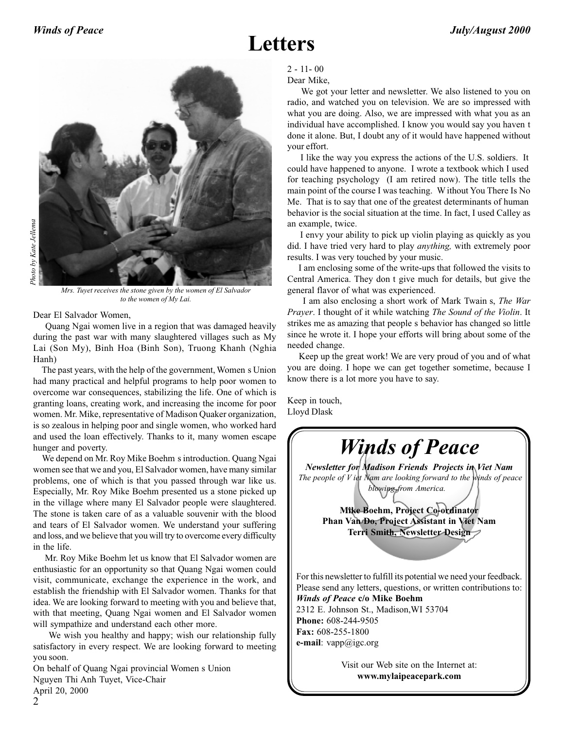#### **Letters**



Photo by Kate Jellema *Photo by Kate Jellema*

*Mrs. Tuyet receives the stone given by the women of El Salvador to the women of My Lai.*

Dear El Salvador Women,

 Quang Ngai women live in a region that was damaged heavily during the past war with many slaughtered villages such as My Lai (Son My), Binh Hoa (Binh Son), Truong Khanh (Nghia Hanh)

 The past years, with the help of the government, Women s Union had many practical and helpful programs to help poor women to overcome war consequences, stabilizing the life. One of which is granting loans, creating work, and increasing the income for poor women. Mr. Mike, representative of Madison Quaker organization, is so zealous in helping poor and single women, who worked hard and used the loan effectively. Thanks to it, many women escape hunger and poverty.

 We depend on Mr. Roy Mike Boehm s introduction. Quang Ngai women see that we and you, El Salvador women, have many similar problems, one of which is that you passed through war like us. Especially, Mr. Roy Mike Boehm presented us a stone picked up in the village where many El Salvador people were slaughtered. The stone is taken care of as a valuable souvenir with the blood and tears of El Salvador women. We understand your suffering and loss, and we believe that you will try to overcome every difficulty in the life.

 Mr. Roy Mike Boehm let us know that El Salvador women are enthusiastic for an opportunity so that Quang Ngai women could visit, communicate, exchange the experience in the work, and establish the friendship with El Salvador women. Thanks for that idea. We are looking forward to meeting with you and believe that, with that meeting, Quang Ngai women and El Salvador women will sympathize and understand each other more.

 We wish you healthy and happy; wish our relationship fully satisfactory in every respect. We are looking forward to meeting you soon.

On behalf of Quang Ngai provincial Women s Union Nguyen Thi Anh Tuyet, Vice-Chair April 20, 2000

2 - 11- 00

Dear Mike,

 We got your letter and newsletter. We also listened to you on radio, and watched you on television. We are so impressed with what you are doing. Also, we are impressed with what you as an individual have accomplished. I know you would say you haven t done it alone. But, I doubt any of it would have happened without your effort.

 I like the way you express the actions of the U.S. soldiers. It could have happened to anyone. I wrote a textbook which I used for teaching psychology (I am retired now). The title tells the main point of the course I was teaching. W ithout You There Is No Me. That is to say that one of the greatest determinants of human behavior is the social situation at the time. In fact, I used Calley as an example, twice.

 I envy your ability to pick up violin playing as quickly as you did. I have tried very hard to play *anything,* with extremely poor results. I was very touched by your music.

 I am enclosing some of the write-ups that followed the visits to Central America. They don t give much for details, but give the general flavor of what was experienced.

 I am also enclosing a short work of Mark Twain s, *The War Prayer*. I thought of it while watching *The Sound of the Violin*. It strikes me as amazing that people s behavior has changed so little since he wrote it. I hope your efforts will bring about some of the needed change.

 Keep up the great work! We are very proud of you and of what you are doing. I hope we can get together sometime, because I know there is a lot more you have to say.

Keep in touch, Lloyd Dlask



**www.mylaipeacepark.com**

2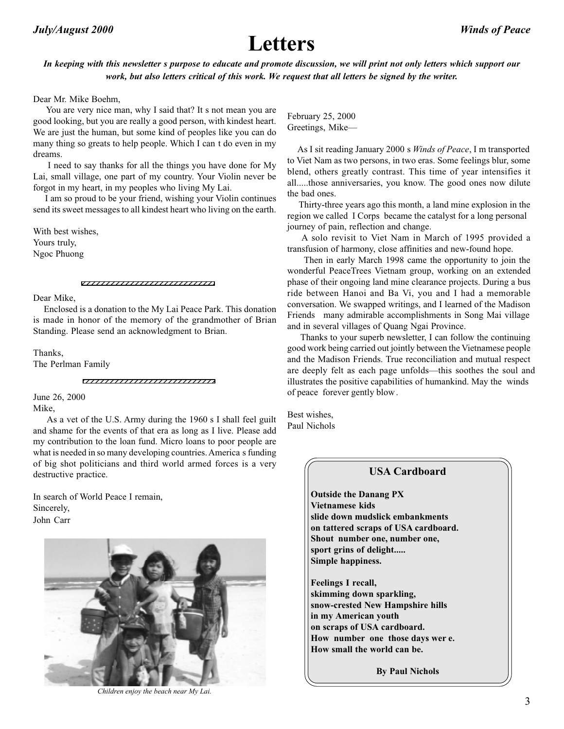# **Letters**

*In keeping with this newsletter s purpose to educate and promote discussion, we will print not only letters which support our work, but also letters critical of this work. We request that all letters be signed by the writer.*

Dear Mr. Mike Boehm,

 You are very nice man, why I said that? It s not mean you are good looking, but you are really a good person, with kindest heart. We are just the human, but some kind of peoples like you can do many thing so greats to help people. Which I can t do even in my dreams.

 I need to say thanks for all the things you have done for My Lai, small village, one part of my country. Your Violin never be forgot in my heart, in my peoples who living My Lai.

 I am so proud to be your friend, wishing your Violin continues send its sweet messages to all kindest heart who living on the earth.

With best wishes, Yours truly, Ngoc Phuong

1<del>2346787878787878787878787878787</del>

Dear Mike,

 Enclosed is a donation to the My Lai Peace Park. This donation is made in honor of the memory of the grandmother of Brian Standing. Please send an acknowledgment to Brian.

Thanks, The Perlman Family

1234567890123456789012345678

June 26, 2000 Mike,

 As a vet of the U.S. Army during the 1960 s I shall feel guilt and shame for the events of that era as long as I live. Please add my contribution to the loan fund. Micro loans to poor people are what is needed in so many developing countries. America s funding of big shot politicians and third world armed forces is a very destructive practice.

In search of World Peace I remain, Sincerely, John Carr



*Children enjoy the beach near My Lai.*

February 25, 2000 Greetings, Mike—

 As I sit reading January 2000 s *Winds of Peace*, I m transported to Viet Nam as two persons, in two eras. Some feelings blur, some blend, others greatly contrast. This time of year intensifies it all.....those anniversaries, you know. The good ones now dilute the bad ones.

 Thirty-three years ago this month, a land mine explosion in the region we called I Corps became the catalyst for a long personal journey of pain, reflection and change.

 A solo revisit to Viet Nam in March of 1995 provided a transfusion of harmony, close affinities and new-found hope.

 Then in early March 1998 came the opportunity to join the wonderful PeaceTrees Vietnam group, working on an extended phase of their ongoing land mine clearance projects. During a bus ride between Hanoi and Ba Vi, you and I had a memorable conversation. We swapped writings, and I learned of the Madison Friends many admirable accomplishments in Song Mai village and in several villages of Quang Ngai Province.

 Thanks to your superb newsletter, I can follow the continuing good work being carried out jointly between the Vietnamese people and the Madison Friends. True reconciliation and mutual respect are deeply felt as each page unfolds—this soothes the soul and illustrates the positive capabilities of humankind. May the winds of peace forever gently blow.

Best wishes, Paul Nichols

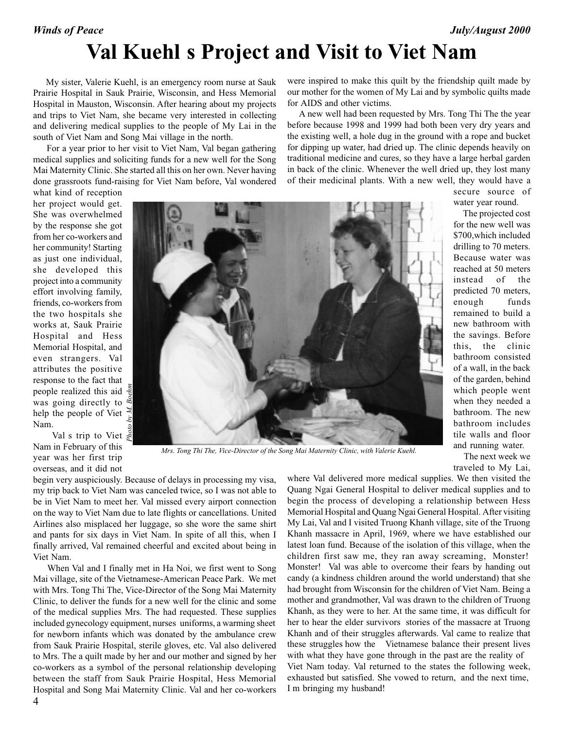## **Val Kuehl s Project and Visit to Viet Nam**

 My sister, Valerie Kuehl, is an emergency room nurse at Sauk Prairie Hospital in Sauk Prairie, Wisconsin, and Hess Memorial Hospital in Mauston, Wisconsin. After hearing about my projects and trips to Viet Nam, she became very interested in collecting and delivering medical supplies to the people of My Lai in the south of Viet Nam and Song Mai village in the north.

 For a year prior to her visit to Viet Nam, Val began gathering medical supplies and soliciting funds for a new well for the Song Mai Maternity Clinic. She started all this on her own. Never having done grassroots fund-raising for Viet Nam before, Val wondered were inspired to make this quilt by the friendship quilt made by our mother for the women of My Lai and by symbolic quilts made for AIDS and other victims.

 A new well had been requested by Mrs. Tong Thi The the year before because 1998 and 1999 had both been very dry years and the existing well, a hole dug in the ground with a rope and bucket for dipping up water, had dried up. The clinic depends heavily on traditional medicine and cures, so they have a large herbal garden in back of the clinic. Whenever the well dried up, they lost many of their medicinal plants. With a new well, they would have a

> secure source of water year round. The projected cost

for the new well was \$700,which included drilling to 70 meters. Because water was reached at 50 meters instead of the predicted 70 meters, enough funds remained to build a new bathroom with the savings. Before this, the clinic bathroom consisted of a wall, in the back of the garden, behind which people went when they needed a bathroom. The new bathroom includes tile walls and floor and running water. The next week we traveled to My Lai,

what kind of reception her project would get. She was overwhelmed by the response she got from her co-workers and her community! Starting as just one individual, she developed this project into a community effort involving family, friends, co-workers from the two hospitals she works at, Sauk Prairie Hospital and Hess Memorial Hospital, and even strangers. Val attributes the positive response to the fact that people realized this aid was going directly to help the people of Viet Nam.

 Val s trip to Viet Nam in February of this year was her first trip overseas, and it did not



*Mrs. Tong Thi The, Vice-Director of the Song Mai Maternity Clinic, with Valerie Kuehl.*

begin very auspiciously. Because of delays in processing my visa, my trip back to Viet Nam was canceled twice, so I was not able to be in Viet Nam to meet her. Val missed every airport connection on the way to Viet Nam due to late flights or cancellations. United Airlines also misplaced her luggage, so she wore the same shirt and pants for six days in Viet Nam. In spite of all this, when I finally arrived, Val remained cheerful and excited about being in Viet Nam.

 *Photo by M. Boehm*

 When Val and I finally met in Ha Noi, we first went to Song Mai village, site of the Vietnamese-American Peace Park. We met with Mrs. Tong Thi The, Vice-Director of the Song Mai Maternity Clinic, to deliver the funds for a new well for the clinic and some of the medical supplies Mrs. The had requested. These supplies included gynecology equipment, nurses uniforms, a warming sheet for newborn infants which was donated by the ambulance crew from Sauk Prairie Hospital, sterile gloves, etc. Val also delivered to Mrs. The a quilt made by her and our mother and signed by her co-workers as a symbol of the personal relationship developing between the staff from Sauk Prairie Hospital, Hess Memorial Hospital and Song Mai Maternity Clinic. Val and her co-workers

where Val delivered more medical supplies. We then visited the Quang Ngai General Hospital to deliver medical supplies and to begin the process of developing a relationship between Hess Memorial Hospital and Quang Ngai General Hospital. After visiting My Lai, Val and I visited Truong Khanh village, site of the Truong Khanh massacre in April, 1969, where we have established our latest loan fund. Because of the isolation of this village, when the children first saw me, they ran away screaming, Monster! Monster! Val was able to overcome their fears by handing out candy (a kindness children around the world understand) that she had brought from Wisconsin for the children of Viet Nam. Being a mother and grandmother, Val was drawn to the children of Truong Khanh, as they were to her. At the same time, it was difficult for her to hear the elder survivors stories of the massacre at Truong Khanh and of their struggles afterwards. Val came to realize that these struggles how the Vietnamese balance their present lives with what they have gone through in the past are the reality of Viet Nam today. Val returned to the states the following week, exhausted but satisfied. She vowed to return, and the next time, I m bringing my husband!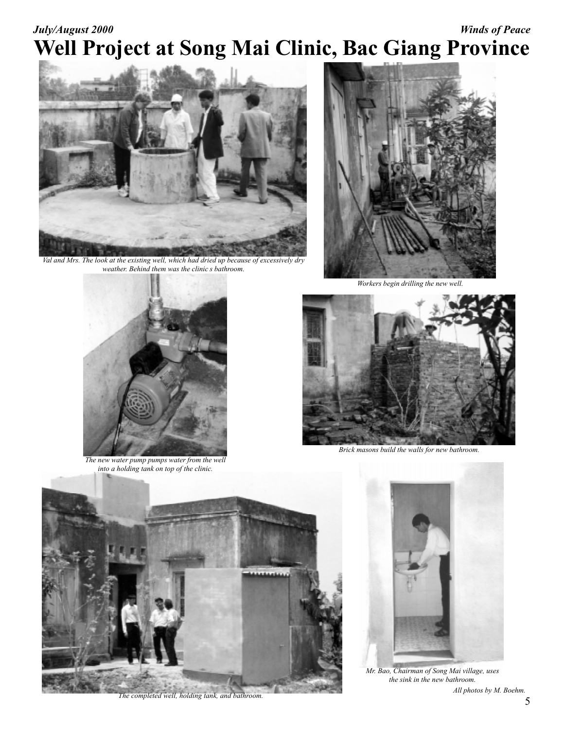#### *July/August 2000 Winds of Peace* **Well Project at Song Mai Clinic, Bac Giang Province**



*Val and Mrs. The look at the existing well, which had dried up because of excessively dry weather. Behind them was the clinic s bathroom.*



*Workers begin drilling the new well.*



*The new water pump pumps water from the well into a holding tank on top of the clinic.*



*Brick masons build the walls for new bathroom.*



*The completed well, holding tank, and bathroom.*



*Mr. Bao, Chairman of Song Mai village, uses the sink in the new bathroom.*

*All photos by M. Boehm.*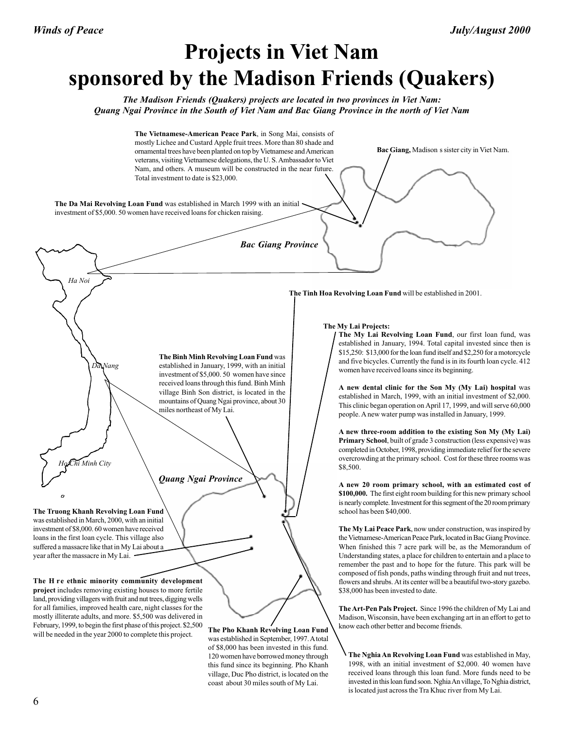## **Projects in Viet Nam sponsored by the Madison Friends (Quakers)**

*The Madison Friends (Quakers) projects are located in two provinces in Viet Nam: Quang Ngai Province in the South of Viet Nam and Bac Giang Province in the north of Viet Nam*



120 women have borrowed money through this fund since its beginning. Pho Khanh village, Duc Pho district, is located on the coast about 30 miles south of My Lai.

**The Nghia An Revolving Loan Fund** was established in May, 1998, with an initial investment of \$2,000. 40 women have received loans through this loan fund. More funds need to be invested in this loan fund soon. Nghia An village, To Nghia district, is located just across the Tra Khuc river from My Lai.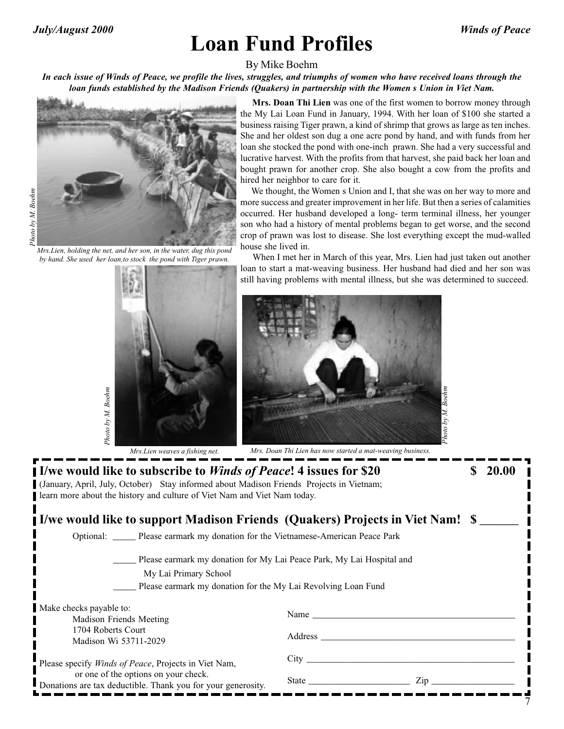# **Loan Fund Profiles**

By Mike Boehm

*In each issue of Winds of Peace, we profile the lives, struggles, and triumphs of women who have received loans through the loan funds established by the Madison Friends (Quakers) in partnership with the Women s Union in Viet Nam.*



*Mrs.Lien, holding the net, and her son, in the water, dug this pond by hand. She used her loan,to stock the pond with Tiger prawn.*

*Photo by M. Boehm*

Photo by M. Boehm

 **Mrs. Doan Thi Lien** was one of the first women to borrow money through the My Lai Loan Fund in January, 1994. With her loan of \$100 she started a business raising Tiger prawn, a kind of shrimp that grows as large as ten inches. She and her oldest son dug a one acre pond by hand, and with funds from her loan she stocked the pond with one-inch prawn. She had a very successful and lucrative harvest. With the profits from that harvest, she paid back her loan and bought prawn for another crop. She also bought a cow from the profits and hired her neighbor to care for it.

 We thought, the Women s Union and I, that she was on her way to more and more success and greater improvement in her life. But then a series of calamities occurred. Her husband developed a long- term terminal illness, her younger son who had a history of mental problems began to get worse, and the second crop of prawn was lost to disease. She lost everything except the mud-walled house she lived in.

 When I met her in March of this year, Mrs. Lien had just taken out another loan to start a mat-weaving business. Her husband had died and her son was still having problems with mental illness, but she was determined to succeed.

State \_\_\_\_\_\_\_\_\_\_\_\_\_\_\_\_\_\_\_\_\_\_ Zip \_\_\_\_\_\_\_\_\_\_\_\_\_\_\_\_\_\_



**I** I/we would like to subscribe to *Winds of Peace*! 4 issues for \$20 **\$** 20.00 (January, April, July, October) Stay informed about Madison Friends Projects in Vietnam; learn more about the history and culture of Viet Nam and Viet Nam today. **I/we would like to support Madison Friends (Quakers) Projects in Viet Nam! \$ \_\_\_\_\_\_** Optional: \_\_\_\_\_ Please earmark my donation for the Vietnamese-American Peace Park \_\_\_\_\_ Please earmark my donation for My Lai Peace Park, My Lai Hospital and My Lai Primary School \_\_\_\_\_ Please earmark my donation for the My Lai Revolving Loan Fund Make checks payable to: Madison Friends Meeting 1704 Roberts Court Madison Wi 53711-2029 Please specify *Winds of Peace*, Projects in Viet Nam, or one of the options on your check.  $Name$ Address  $\overline{A}$ City \_\_\_\_\_\_\_\_\_\_\_\_\_\_\_\_\_\_\_\_\_\_\_\_\_\_\_\_\_\_\_\_\_\_\_\_\_\_\_\_\_\_\_\_\_

Donations are tax deductible. Thank you for your generosity.

7